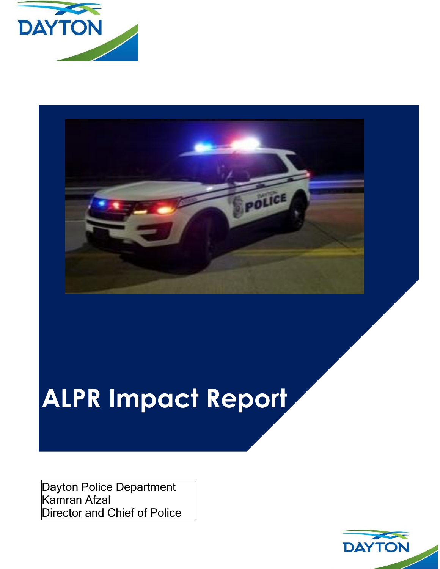



# **ALPR Impact Report**

Dayton Police Department Kamran Afzal Director and Chief of Police

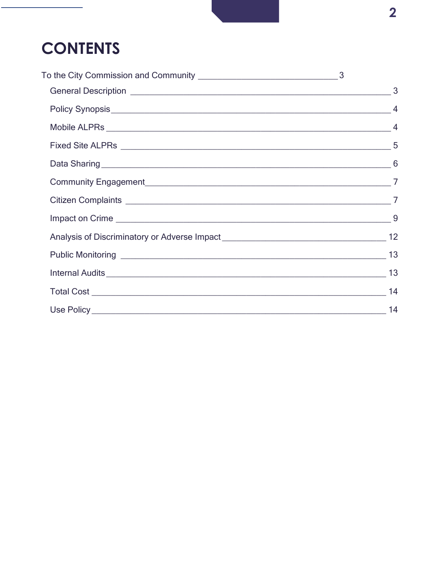## **CONTENTS**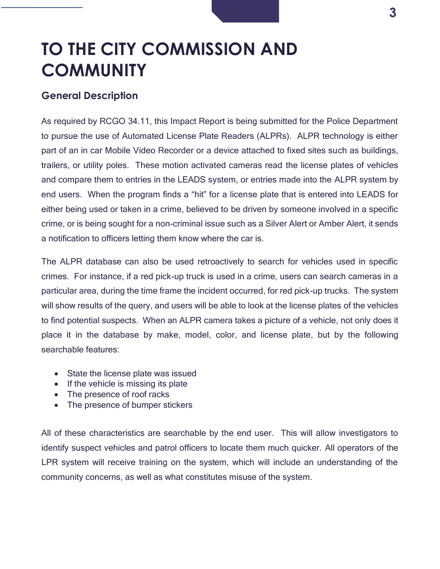## <span id="page-2-0"></span>**TO THE CITY COMMISSION AND COMMUNITY**

#### <span id="page-2-1"></span>**General Description**

As required by RCGO 34.11, this Impact Report is being submitted for the Police Department to pursue the use of Automated License Plate Readers (ALPRs). ALPR technology is either part of an in car Mobile Video Recorder or a device attached to fixed sites such as buildings, trailers, or utility poles. These motion activated cameras read the license plates of vehicles and compare them to entries in the LEADS system, or entries made into the ALPR system by end users. When the program finds a "hit" for a license plate that is entered into LEADS for either being used or taken in a crime, believed to be driven by someone involved in a specific crime, or is being sought for a non-criminal issue such as a Silver Alert or Amber Alert, it sends a notification to officers letting them know where the car is.

The ALPR database can also be used retroactively to search for vehicles used in specific crimes. For instance, if a red pick-up truck is used in a crime, users can search cameras in a particular area, during the time frame the incident occurred, for red pick-up trucks. The system will show results of the query, and users will be able to look at the license plates of the vehicles to find potential suspects. When an ALPR camera takes a picture of a vehicle, not only does it place it in the database by make, model, color, and license plate, but by the following searchable features:

- State the license plate was issued
- If the vehicle is missing its plate
- The presence of roof racks
- The presence of bumper stickers

All of these characteristics are searchable by the end user. This will allow investigators to identify suspect vehicles and patrol officers to locate them much quicker. All operators of the LPR system will receive training on the system, which will include an understanding of the community concerns, as well as what constitutes misuse of the system.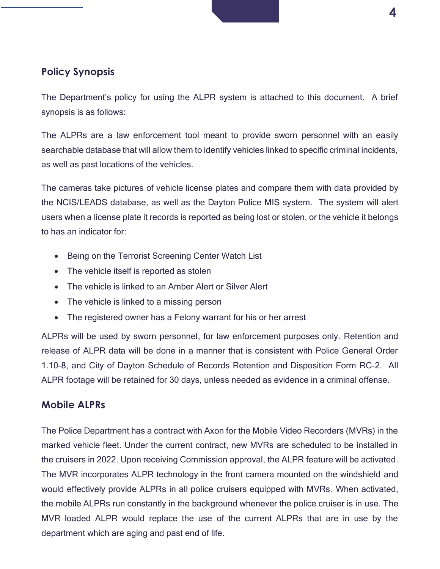### <span id="page-3-0"></span>**Policy Synopsis**

The Department's policy for using the ALPR system is attached to this document. A brief synopsis is as follows:

The ALPRs are a law enforcement tool meant to provide sworn personnel with an easily searchable database that will allow them to identify vehicles linked to specific criminal incidents, as well as past locations of the vehicles.

The cameras take pictures of vehicle license plates and compare them with data provided by the NCIS/LEADS database, as well as the Dayton Police MIS system. The system will alert users when a license plate it records is reported as being lost or stolen, or the vehicle it belongs to has an indicator for:

- Being on the Terrorist Screening Center Watch List
- The vehicle itself is reported as stolen
- The vehicle is linked to an Amber Alert or Silver Alert
- The vehicle is linked to a missing person
- The registered owner has a Felony warrant for his or her arrest

ALPRs will be used by sworn personnel, for law enforcement purposes only. Retention and release of ALPR data will be done in a manner that is consistent with Police General Order 1.10-8, and City of Dayton Schedule of Records Retention and Disposition Form RC-2. All ALPR footage will be retained for 30 days, unless needed as evidence in a criminal offense.

#### <span id="page-3-1"></span>**Mobile ALPRs**

The Police Department has a contract with Axon for the Mobile Video Recorders (MVRs) in the marked vehicle fleet. Under the current contract, new MVRs are scheduled to be installed in the cruisers in 2022. Upon receiving Commission approval, the ALPR feature will be activated. The MVR incorporates ALPR technology in the front camera mounted on the windshield and would effectively provide ALPRs in all police cruisers equipped with MVRs. When activated, the mobile ALPRs run constantly in the background whenever the police cruiser is in use. The MVR loaded ALPR would replace the use of the current ALPRs that are in use by the department which are aging and past end of life.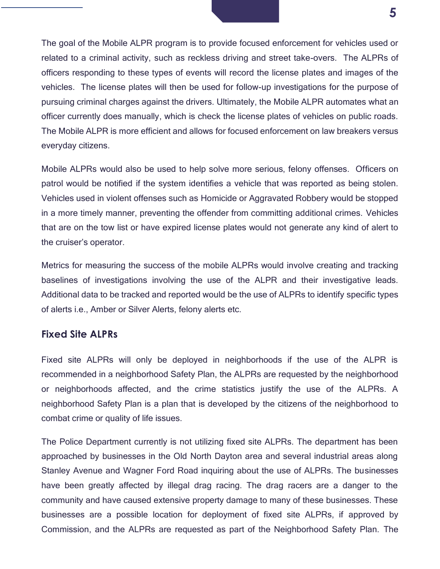The goal of the Mobile ALPR program is to provide focused enforcement for vehicles used or related to a criminal activity, such as reckless driving and street take-overs. The ALPRs of officers responding to these types of events will record the license plates and images of the vehicles. The license plates will then be used for follow-up investigations for the purpose of pursuing criminal charges against the drivers. Ultimately, the Mobile ALPR automates what an officer currently does manually, which is check the license plates of vehicles on public roads. The Mobile ALPR is more efficient and allows for focused enforcement on law breakers versus everyday citizens.

Mobile ALPRs would also be used to help solve more serious, felony offenses. Officers on patrol would be notified if the system identifies a vehicle that was reported as being stolen. Vehicles used in violent offenses such as Homicide or Aggravated Robbery would be stopped in a more timely manner, preventing the offender from committing additional crimes. Vehicles that are on the tow list or have expired license plates would not generate any kind of alert to the cruiser's operator.

Metrics for measuring the success of the mobile ALPRs would involve creating and tracking baselines of investigations involving the use of the ALPR and their investigative leads. Additional data to be tracked and reported would be the use of ALPRs to identify specific types of alerts i.e., Amber or Silver Alerts, felony alerts etc.

#### <span id="page-4-0"></span>**Fixed Site ALPRs**

Fixed site ALPRs will only be deployed in neighborhoods if the use of the ALPR is recommended in a neighborhood Safety Plan, the ALPRs are requested by the neighborhood or neighborhoods affected, and the crime statistics justify the use of the ALPRs. A neighborhood Safety Plan is a plan that is developed by the citizens of the neighborhood to combat crime or quality of life issues.

The Police Department currently is not utilizing fixed site ALPRs. The department has been approached by businesses in the Old North Dayton area and several industrial areas along Stanley Avenue and Wagner Ford Road inquiring about the use of ALPRs. The businesses have been greatly affected by illegal drag racing. The drag racers are a danger to the community and have caused extensive property damage to many of these businesses. These businesses are a possible location for deployment of fixed site ALPRs, if approved by Commission, and the ALPRs are requested as part of the Neighborhood Safety Plan. The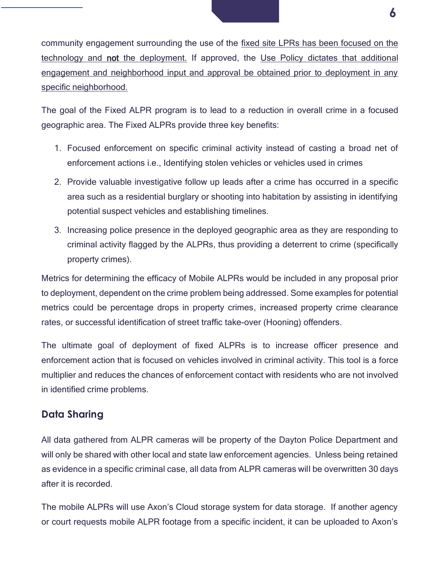community engagement surrounding the use of the fixed site LPRs has been focused on the technology and not the deployment. If approved, the Use Policy dictates that additional engagement and neighborhood input and approval be obtained prior to deployment in any specific neighborhood.

The goal of the Fixed ALPR program is to lead to a reduction in overall crime in a focused geographic area. The Fixed ALPRs provide three key benefits:

- 1. Focused enforcement on specific criminal activity instead of casting a broad net of enforcement actions i.e., Identifying stolen vehicles or vehicles used in crimes
- 2. Provide valuable investigative follow up leads after a crime has occurred in a specific area such as a residential burglary or shooting into habitation by assisting in identifying potential suspect vehicles and establishing timelines.
- 3. Increasing police presence in the deployed geographic area as they are responding to criminal activity flagged by the ALPRs, thus providing a deterrent to crime (specifically property crimes).

Metrics for determining the efficacy of Mobile ALPRs would be included in any proposal prior to deployment, dependent on the crime problem being addressed. Some examples for potential metrics could be percentage drops in property crimes, increased property crime clearance rates, or successful identification of street traffic take-over (Hooning) offenders.

The ultimate goal of deployment of fixed ALPRs is to increase officer presence and enforcement action that is focused on vehicles involved in criminal activity. This tool is a force multiplier and reduces the chances of enforcement contact with residents who are not involved in identified crime problems.

### <span id="page-5-0"></span>**Data Sharing**

All data gathered from ALPR cameras will be property of the Dayton Police Department and will only be shared with other local and state law enforcement agencies. Unless being retained as evidence in a specific criminal case, all data from ALPR cameras will be overwritten 30 days after it is recorded.

The mobile ALPRs will use Axon's Cloud storage system for data storage. If another agency or court requests mobile ALPR footage from a specific incident, it can be uploaded to Axon's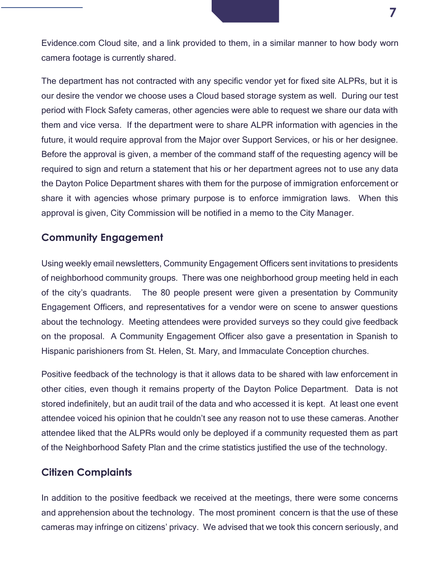Evidence.com Cloud site, and a link provided to them, in a similar manner to how body worn camera footage is currently shared.

The department has not contracted with any specific vendor yet for fixed site ALPRs, but it is our desire the vendor we choose uses a Cloud based storage system as well. During our test period with Flock Safety cameras, other agencies were able to request we share our data with them and vice versa. If the department were to share ALPR information with agencies in the future, it would require approval from the Major over Support Services, or his or her designee. Before the approval is given, a member of the command staff of the requesting agency will be required to sign and return a statement that his or her department agrees not to use any data the Dayton Police Department shares with them for the purpose of immigration enforcement or share it with agencies whose primary purpose is to enforce immigration laws. When this approval is given, City Commission will be notified in a memo to the City Manager.

### <span id="page-6-0"></span>**Community Engagement**

Using weekly email newsletters, Community Engagement Officers sent invitations to presidents of neighborhood community groups. There was one neighborhood group meeting held in each of the city's quadrants. The 80 people present were given a presentation by Community Engagement Officers, and representatives for a vendor were on scene to answer questions about the technology. Meeting attendees were provided surveys so they could give feedback on the proposal. A Community Engagement Officer also gave a presentation in Spanish to Hispanic parishioners from St. Helen, St. Mary, and Immaculate Conception churches.

Positive feedback of the technology is that it allows data to be shared with law enforcement in other cities, even though it remains property of the Dayton Police Department. Data is not stored indefinitely, but an audit trail of the data and who accessed it is kept. At least one event attendee voiced his opinion that he couldn't see any reason not to use these cameras. Another attendee liked that the ALPRs would only be deployed if a community requested them as part of the Neighborhood Safety Plan and the crime statistics justified the use of the technology.

#### <span id="page-6-1"></span>**Citizen Complaints**

In addition to the positive feedback we received at the meetings, there were some concerns and apprehension about the technology. The most prominent concern is that the use of these cameras may infringe on citizens' privacy. We advised that we took this concern seriously, and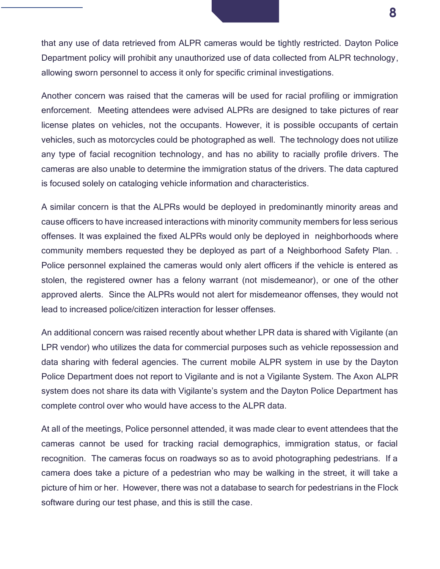that any use of data retrieved from ALPR cameras would be tightly restricted. Dayton Police Department policy will prohibit any unauthorized use of data collected from ALPR technology, allowing sworn personnel to access it only for specific criminal investigations.

Another concern was raised that the cameras will be used for racial profiling or immigration enforcement. Meeting attendees were advised ALPRs are designed to take pictures of rear license plates on vehicles, not the occupants. However, it is possible occupants of certain vehicles, such as motorcycles could be photographed as well. The technology does not utilize any type of facial recognition technology, and has no ability to racially profile drivers. The cameras are also unable to determine the immigration status of the drivers. The data captured is focused solely on cataloging vehicle information and characteristics.

A similar concern is that the ALPRs would be deployed in predominantly minority areas and cause officers to have increased interactions with minority community members for less serious offenses. It was explained the fixed ALPRs would only be deployed in neighborhoods where community members requested they be deployed as part of a Neighborhood Safety Plan. . Police personnel explained the cameras would only alert officers if the vehicle is entered as stolen, the registered owner has a felony warrant (not misdemeanor), or one of the other approved alerts. Since the ALPRs would not alert for misdemeanor offenses, they would not lead to increased police/citizen interaction for lesser offenses.

An additional concern was raised recently about whether LPR data is shared with Vigilante (an LPR vendor) who utilizes the data for commercial purposes such as vehicle repossession and data sharing with federal agencies. The current mobile ALPR system in use by the Dayton Police Department does not report to Vigilante and is not a Vigilante System. The Axon ALPR system does not share its data with Vigilante's system and the Dayton Police Department has complete control over who would have access to the ALPR data.

At all of the meetings, Police personnel attended, it was made clear to event attendees that the cameras cannot be used for tracking racial demographics, immigration status, or facial recognition. The cameras focus on roadways so as to avoid photographing pedestrians. If a camera does take a picture of a pedestrian who may be walking in the street, it will take a picture of him or her. However, there was not a database to search for pedestrians in the Flock software during our test phase, and this is still the case.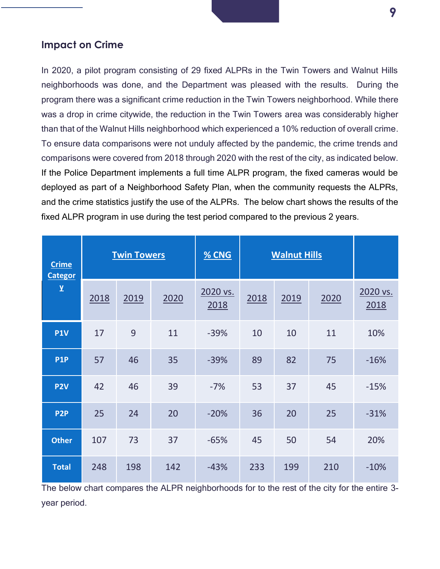#### <span id="page-8-0"></span>**Impact on Crime**

In 2020, a pilot program consisting of 29 fixed ALPRs in the Twin Towers and Walnut Hills neighborhoods was done, and the Department was pleased with the results. During the program there was a significant crime reduction in the Twin Towers neighborhood. While there was a drop in crime citywide, the reduction in the Twin Towers area was considerably higher than that of the Walnut Hills neighborhood which experienced a 10% reduction of overall crime. To ensure data comparisons were not unduly affected by the pandemic, the crime trends and comparisons were covered from 2018 through 2020 with the rest of the city, as indicated below. If the Police Department implements a full time ALPR program, the fixed cameras would be deployed as part of a Neighborhood Safety Plan, when the community requests the ALPRs, and the crime statistics justify the use of the ALPRs. The below chart shows the results of the fixed ALPR program in use during the test period compared to the previous 2 years.

| <b>Crime</b><br><b>Categor</b> | <b>Twin Towers</b> |      |      | % CNG            | <b>Walnut Hills</b> |      |      |                  |
|--------------------------------|--------------------|------|------|------------------|---------------------|------|------|------------------|
| ${\bf y}$                      | 2018               | 2019 | 2020 | 2020 vs.<br>2018 | 2018                | 2019 | 2020 | 2020 vs.<br>2018 |
| <b>P1V</b>                     | 17                 | 9    | 11   | $-39%$           | 10                  | 10   | 11   | 10%              |
| <b>P1P</b>                     | 57                 | 46   | 35   | $-39%$           | 89                  | 82   | 75   | $-16%$           |
| P <sub>2V</sub>                | 42                 | 46   | 39   | $-7%$            | 53                  | 37   | 45   | $-15%$           |
| P <sub>2</sub> P               | 25                 | 24   | 20   | $-20%$           | 36                  | 20   | 25   | $-31%$           |
| <b>Other</b>                   | 107                | 73   | 37   | $-65%$           | 45                  | 50   | 54   | 20%              |
| <b>Total</b>                   | 248                | 198  | 142  | $-43%$           | 233                 | 199  | 210  | $-10%$           |

The below chart compares the ALPR neighborhoods for to the rest of the city for the entire 3 year period.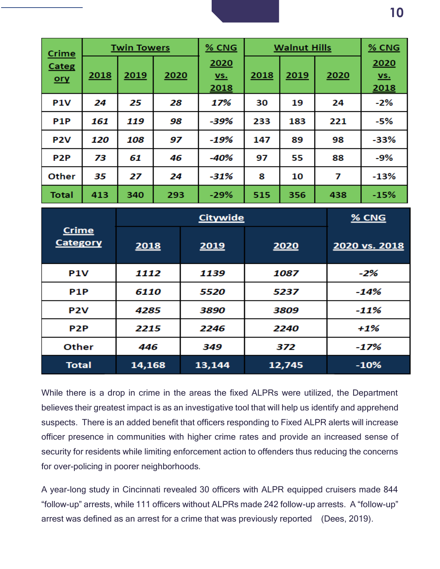| <b>Twin Towers</b><br>Crime |      | % CNG<br><b>Walnut Hills</b> |      |                       |      | $%$ CNG |      |                       |
|-----------------------------|------|------------------------------|------|-----------------------|------|---------|------|-----------------------|
| <b>Categ</b><br>$ory$       | 2018 | 2019                         | 2020 | 2020<br>$vs.$<br>2018 | 2018 | 2019    | 2020 | 2020<br>$vs.$<br>2018 |
| P <sub>1</sub> V            | 24   | 25                           | 28   | 17%                   | 30   | 19      | 24   | $-2%$                 |
| <b>P1P</b>                  | 161  | 119                          | 98   | $-39%$                | 233  | 183     | 221  | $-5%$                 |
| P <sub>2</sub> V            | 120  | 108                          | 97   | $-19%$                | 147  | 89      | 98   | $-33%$                |
| P <sub>2</sub> P            | 73   | 61                           | 46   | -40%                  | 97   | 55      | 88   | $-9%$                 |
| Other                       | 35   | 27                           | 24   | $-31%$                | 8    | 10      | 7    | $-13%$                |
| <b>Total</b>                | 413  | 340                          | 293  | $-29%$                | 515  | 356     | 438  | $-15%$                |

|                                 |        | $%$ CNG |        |               |
|---------------------------------|--------|---------|--------|---------------|
| <b>Crime</b><br><b>Category</b> | 2018   | 2019    | 2020   | 2020 vs. 2018 |
| <b>P1V</b>                      | 1112   | 1139    | 1087   | $-2%$         |
| P <sub>1</sub> P                | 6110   | 5520    | 5237   | $-14%$        |
| P <sub>2</sub> V                | 4285   | 3890    | 3809   | $-11%$        |
| P <sub>2</sub> P                | 2215   | 2246    | 2240   | $+1%$         |
| Other                           | 446    | 349     | 372    | $-17%$        |
| <b>Total</b>                    | 14,168 | 13,144  | 12,745 | $-10%$        |

While there is a drop in crime in the areas the fixed ALPRs were utilized, the Department believes their greatest impact is as an investigative tool that will help us identify and apprehend suspects. There is an added benefit that officers responding to Fixed ALPR alerts will increase officer presence in communities with higher crime rates and provide an increased sense of security for residents while limiting enforcement action to offenders thus reducing the concerns for over-policing in poorer neighborhoods.

A year-long study in Cincinnati revealed 30 officers with ALPR equipped cruisers made 844 "follow-up" arrests, while 111 officers without ALPRs made 242 follow-up arrests. A "follow-up" arrest was defined as an arrest for a crime that was previously reported (Dees, 2019).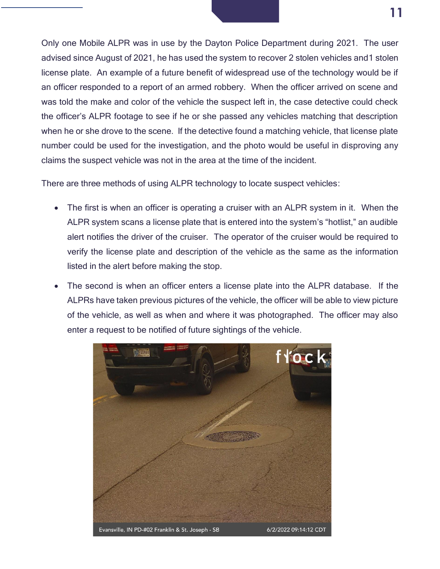Only one Mobile ALPR was in use by the Dayton Police Department during 2021. The user advised since August of 2021, he has used the system to recover 2 stolen vehicles and1 stolen license plate. An example of a future benefit of widespread use of the technology would be if an officer responded to a report of an armed robbery. When the officer arrived on scene and was told the make and color of the vehicle the suspect left in, the case detective could check the officer's ALPR footage to see if he or she passed any vehicles matching that description when he or she drove to the scene. If the detective found a matching vehicle, that license plate number could be used for the investigation, and the photo would be useful in disproving any claims the suspect vehicle was not in the area at the time of the incident.

There are three methods of using ALPR technology to locate suspect vehicles:

- The first is when an officer is operating a cruiser with an ALPR system in it. When the ALPR system scans a license plate that is entered into the system's "hotlist," an audible alert notifies the driver of the cruiser. The operator of the cruiser would be required to verify the license plate and description of the vehicle as the same as the information listed in the alert before making the stop.
- The second is when an officer enters a license plate into the ALPR database. If the ALPRs have taken previous pictures of the vehicle, the officer will be able to view picture of the vehicle, as well as when and where it was photographed. The officer may also enter a request to be notified of future sightings of the vehicle.

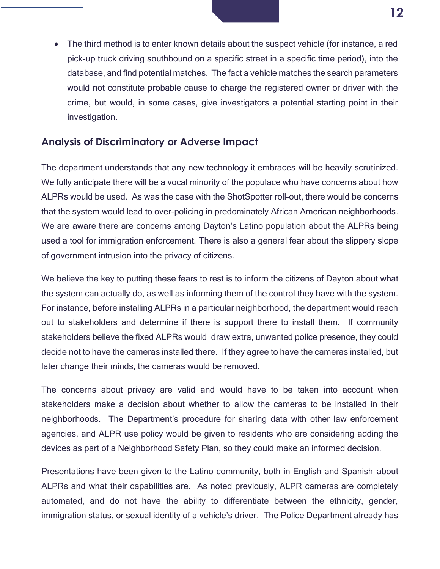

#### <span id="page-11-0"></span>**Analysis of Discriminatory or Adverse Impact**

The department understands that any new technology it embraces will be heavily scrutinized. We fully anticipate there will be a vocal minority of the populace who have concerns about how ALPRs would be used. As was the case with the ShotSpotter roll-out, there would be concerns that the system would lead to over-policing in predominately African American neighborhoods. We are aware there are concerns among Dayton's Latino population about the ALPRs being used a tool for immigration enforcement. There is also a general fear about the slippery slope of government intrusion into the privacy of citizens.

We believe the key to putting these fears to rest is to inform the citizens of Dayton about what the system can actually do, as well as informing them of the control they have with the system. For instance, before installing ALPRs in a particular neighborhood, the department would reach out to stakeholders and determine if there is support there to install them. If community stakeholders believe the fixed ALPRs would draw extra, unwanted police presence, they could decide not to have the cameras installed there. If they agree to have the cameras installed, but later change their minds, the cameras would be removed.

The concerns about privacy are valid and would have to be taken into account when stakeholders make a decision about whether to allow the cameras to be installed in their neighborhoods. The Department's procedure for sharing data with other law enforcement agencies, and ALPR use policy would be given to residents who are considering adding the devices as part of a Neighborhood Safety Plan, so they could make an informed decision.

Presentations have been given to the Latino community, both in English and Spanish about ALPRs and what their capabilities are. As noted previously, ALPR cameras are completely automated, and do not have the ability to differentiate between the ethnicity, gender, immigration status, or sexual identity of a vehicle's driver. The Police Department already has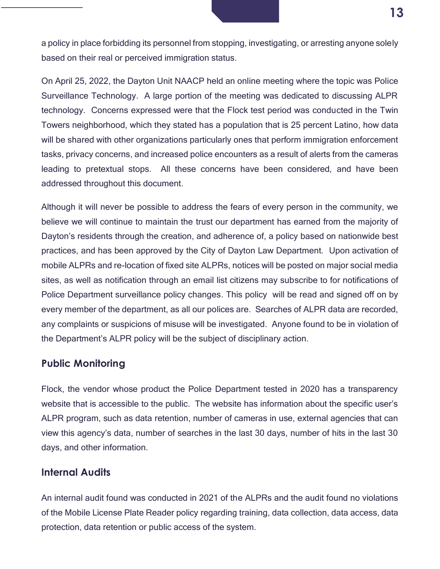a policy in place forbidding its personnel from stopping, investigating, or arresting anyone solely based on their real or perceived immigration status.

On April 25, 2022, the Dayton Unit NAACP held an online meeting where the topic was Police Surveillance Technology. A large portion of the meeting was dedicated to discussing ALPR technology. Concerns expressed were that the Flock test period was conducted in the Twin Towers neighborhood, which they stated has a population that is 25 percent Latino, how data will be shared with other organizations particularly ones that perform immigration enforcement tasks, privacy concerns, and increased police encounters as a result of alerts from the cameras leading to pretextual stops. All these concerns have been considered, and have been addressed throughout this document.

Although it will never be possible to address the fears of every person in the community, we believe we will continue to maintain the trust our department has earned from the majority of Dayton's residents through the creation, and adherence of, a policy based on nationwide best practices, and has been approved by the City of Dayton Law Department. Upon activation of mobile ALPRs and re-location of fixed site ALPRs, notices will be posted on major social media sites, as well as notification through an email list citizens may subscribe to for notifications of Police Department surveillance policy changes. This policy will be read and signed off on by every member of the department, as all our polices are. Searches of ALPR data are recorded, any complaints or suspicions of misuse will be investigated. Anyone found to be in violation of the Department's ALPR policy will be the subject of disciplinary action.

#### <span id="page-12-0"></span>**Public Monitoring**

Flock, the vendor whose product the Police Department tested in 2020 has a transparency website that is accessible to the public. The website has information about the specific user's ALPR program, such as data retention, number of cameras in use, external agencies that can view this agency's data, number of searches in the last 30 days, number of hits in the last 30 days, and other information.

#### <span id="page-12-1"></span>**Internal Audits**

An internal audit found was conducted in 2021 of the ALPRs and the audit found no violations of the Mobile License Plate Reader policy regarding training, data collection, data access, data protection, data retention or public access of the system.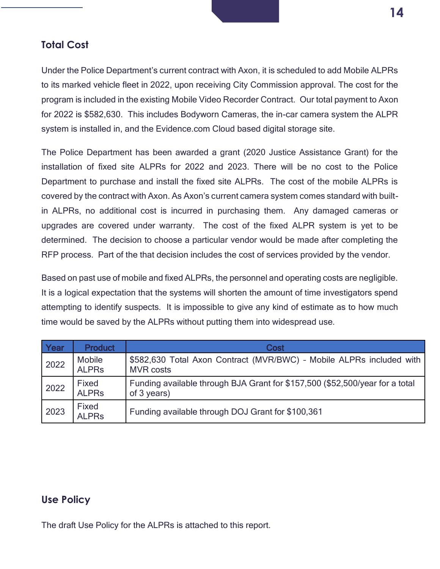#### <span id="page-13-0"></span>**Total Cost**

Under the Police Department's current contract with Axon, it is scheduled to add Mobile ALPRs to its marked vehicle fleet in 2022, upon receiving City Commission approval. The cost for the program is included in the existing Mobile Video Recorder Contract. Our total payment to Axon for 2022 is \$582,630. This includes Bodyworn Cameras, the in-car camera system the ALPR system is installed in, and the Evidence.com Cloud based digital storage site.

The Police Department has been awarded a grant (2020 Justice Assistance Grant) for the installation of fixed site ALPRs for 2022 and 2023. There will be no cost to the Police Department to purchase and install the fixed site ALPRs. The cost of the mobile ALPRs is covered by the contract with Axon. As Axon's current camera system comes standard with builtin ALPRs, no additional cost is incurred in purchasing them. Any damaged cameras or upgrades are covered under warranty. The cost of the fixed ALPR system is yet to be determined. The decision to choose a particular vendor would be made after completing the RFP process. Part of the that decision includes the cost of services provided by the vendor.

Based on past use of mobile and fixed ALPRs, the personnel and operating costs are negligible. It is a logical expectation that the systems will shorten the amount of time investigators spend attempting to identify suspects. It is impossible to give any kind of estimate as to how much time would be saved by the ALPRs without putting them into widespread use.

| Year | <b>Product</b>                | Cost                                                                                        |
|------|-------------------------------|---------------------------------------------------------------------------------------------|
| 2022 | <b>Mobile</b><br><b>ALPRS</b> | \$582,630 Total Axon Contract (MVR/BWC) - Mobile ALPRs included with<br><b>MVR costs</b>    |
| 2022 | Fixed<br><b>ALPRS</b>         | Funding available through BJA Grant for \$157,500 (\$52,500/year for a total<br>of 3 years) |
| 2023 | Fixed<br><b>ALPRS</b>         | Funding available through DOJ Grant for \$100,361                                           |

#### <span id="page-13-1"></span>**Use Policy**

The draft Use Policy for the ALPRs is attached to this report.